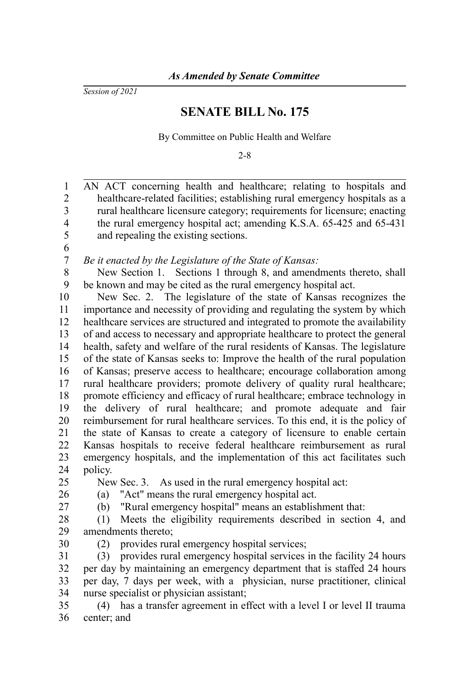*Session of 2021*

## **SENATE BILL No. 175**

By Committee on Public Health and Welfare

2-8

| $\mathbf{1}$            | AN ACT concerning health and healthcare; relating to hospitals and            |
|-------------------------|-------------------------------------------------------------------------------|
| $\overline{2}$          | healthcare-related facilities; establishing rural emergency hospitals as a    |
| $\overline{3}$          | rural healthcare licensure category; requirements for licensure; enacting     |
| $\overline{\mathbf{4}}$ | the rural emergency hospital act; amending K.S.A. 65-425 and 65-431           |
| 5                       | and repealing the existing sections.                                          |
| 6                       |                                                                               |
| $\boldsymbol{7}$        | Be it enacted by the Legislature of the State of Kansas:                      |
| 8                       | New Section 1. Sections 1 through 8, and amendments thereto, shall            |
| 9                       | be known and may be cited as the rural emergency hospital act.                |
| 10                      | New Sec. 2. The legislature of the state of Kansas recognizes the             |
| 11                      | importance and necessity of providing and regulating the system by which      |
| 12                      | healthcare services are structured and integrated to promote the availability |
| 13                      | of and access to necessary and appropriate healthcare to protect the general  |
| 14                      | health, safety and welfare of the rural residents of Kansas. The legislature  |
| 15                      | of the state of Kansas seeks to: Improve the health of the rural population   |
| 16                      | of Kansas; preserve access to healthcare; encourage collaboration among       |
| 17                      | rural healthcare providers; promote delivery of quality rural healthcare;     |
| 18                      | promote efficiency and efficacy of rural healthcare; embrace technology in    |
| 19                      | the delivery of rural healthcare; and promote adequate and fair               |
| 20                      | reimbursement for rural healthcare services. To this end, it is the policy of |
| 21                      | the state of Kansas to create a category of licensure to enable certain       |
| 22                      | Kansas hospitals to receive federal healthcare reimbursement as rural         |
| 23                      | emergency hospitals, and the implementation of this act facilitates such      |
| 24                      | policy.                                                                       |
| 25                      | New Sec. 3. As used in the rural emergency hospital act:                      |
| 26                      | "Act" means the rural emergency hospital act.<br>(a)                          |
| 27                      | "Rural emergency hospital" means an establishment that:<br>(b)                |
| 28                      | Meets the eligibility requirements described in section 4, and<br>(1)         |
| 29                      | amendments thereto;                                                           |
| 30                      | provides rural emergency hospital services;<br>(2)                            |
| 31                      | provides rural emergency hospital services in the facility 24 hours<br>(3)    |
| 32                      | per day by maintaining an emergency department that is staffed 24 hours       |
| 33                      | per day, 7 days per week, with a physician, nurse practitioner, clinical      |
| 34                      | nurse specialist or physician assistant;                                      |
| 35                      | (4) has a transfer agreement in effect with a level I or level II trauma      |
|                         |                                                                               |

36 center; and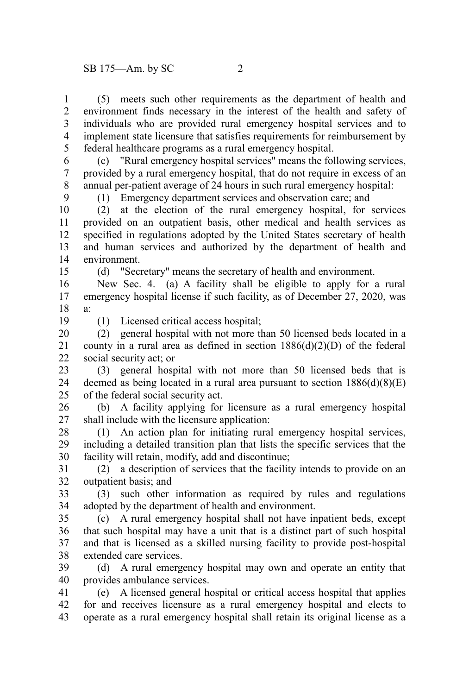(5) meets such other requirements as the department of health and environment finds necessary in the interest of the health and safety of individuals who are provided rural emergency hospital services and to implement state licensure that satisfies requirements for reimbursement by federal healthcare programs as a rural emergency hospital. 1 2 3 4 5

(c) "Rural emergency hospital services" means the following services, provided by a rural emergency hospital, that do not require in excess of an annual per-patient average of 24 hours in such rural emergency hospital: 6 7 8

(1) Emergency department services and observation care; and

(2) at the election of the rural emergency hospital, for services provided on an outpatient basis, other medical and health services as specified in regulations adopted by the United States secretary of health and human services and authorized by the department of health and environment. 10 11 12 13 14

(d) "Secretary" means the secretary of health and environment.

New Sec. 4. (a) A facility shall be eligible to apply for a rural emergency hospital license if such facility, as of December 27, 2020, was a: 16 17 18

19

15

9

(1) Licensed critical access hospital;

(2) general hospital with not more than 50 licensed beds located in a county in a rural area as defined in section  $1886(d)(2)(D)$  of the federal social security act; or 20 21 22

(3) general hospital with not more than 50 licensed beds that is deemed as being located in a rural area pursuant to section  $1886(d)(8)(E)$ of the federal social security act. 23 24 25

(b) A facility applying for licensure as a rural emergency hospital shall include with the licensure application: 26 27

(1) An action plan for initiating rural emergency hospital services, including a detailed transition plan that lists the specific services that the facility will retain, modify, add and discontinue; 28 29 30

(2) a description of services that the facility intends to provide on an outpatient basis; and 31 32

(3) such other information as required by rules and regulations adopted by the department of health and environment. 33 34

(c) A rural emergency hospital shall not have inpatient beds, except that such hospital may have a unit that is a distinct part of such hospital and that is licensed as a skilled nursing facility to provide post-hospital extended care services. 35 36 37 38

(d) A rural emergency hospital may own and operate an entity that provides ambulance services. 39 40

(e) A licensed general hospital or critical access hospital that applies for and receives licensure as a rural emergency hospital and elects to operate as a rural emergency hospital shall retain its original license as a 41 42 43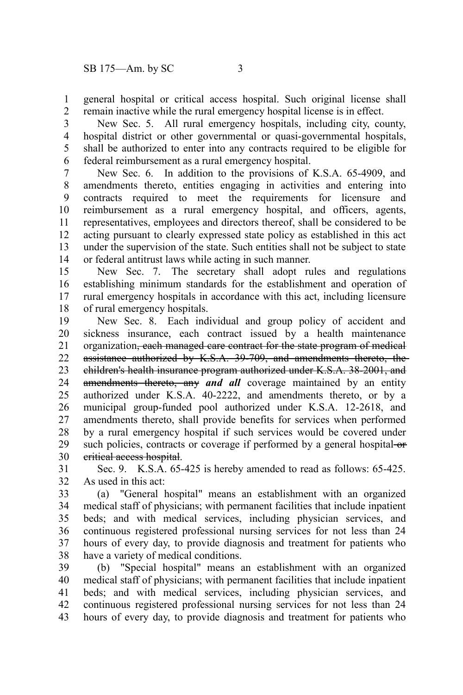general hospital or critical access hospital. Such original license shall remain inactive while the rural emergency hospital license is in effect. 1 2

New Sec. 5. All rural emergency hospitals, including city, county, hospital district or other governmental or quasi-governmental hospitals, shall be authorized to enter into any contracts required to be eligible for federal reimbursement as a rural emergency hospital. 3 4 5 6

New Sec. 6. In addition to the provisions of K.S.A. 65-4909, and amendments thereto, entities engaging in activities and entering into contracts required to meet the requirements for licensure and reimbursement as a rural emergency hospital, and officers, agents, representatives, employees and directors thereof, shall be considered to be acting pursuant to clearly expressed state policy as established in this act under the supervision of the state. Such entities shall not be subject to state or federal antitrust laws while acting in such manner. 7 8 9 10 11 12 13 14

New Sec. 7. The secretary shall adopt rules and regulations establishing minimum standards for the establishment and operation of rural emergency hospitals in accordance with this act, including licensure of rural emergency hospitals. 15 16 17 18

New Sec. 8. Each individual and group policy of accident and sickness insurance, each contract issued by a health maintenance organization, each managed care contract for the state program of medical assistance authorized by K.S.A. 39-709, and amendments thereto, the children's health insurance program authorized under K.S.A. 38-2001, and amendments thereto, any *and all* coverage maintained by an entity authorized under K.S.A. 40-2222, and amendments thereto, or by a municipal group-funded pool authorized under K.S.A. 12-2618, and amendments thereto, shall provide benefits for services when performed by a rural emergency hospital if such services would be covered under such policies, contracts or coverage if performed by a general hospital-orcritical access hospital. 19 20 21 22 23 24 25 26 27 28 29 30

Sec. 9. K.S.A. 65-425 is hereby amended to read as follows: 65-425. As used in this act: 31 32

(a) "General hospital" means an establishment with an organized medical staff of physicians; with permanent facilities that include inpatient beds; and with medical services, including physician services, and continuous registered professional nursing services for not less than 24 hours of every day, to provide diagnosis and treatment for patients who have a variety of medical conditions. 33 34 35 36 37 38

(b) "Special hospital" means an establishment with an organized medical staff of physicians; with permanent facilities that include inpatient beds; and with medical services, including physician services, and continuous registered professional nursing services for not less than 24 hours of every day, to provide diagnosis and treatment for patients who 39 40 41 42 43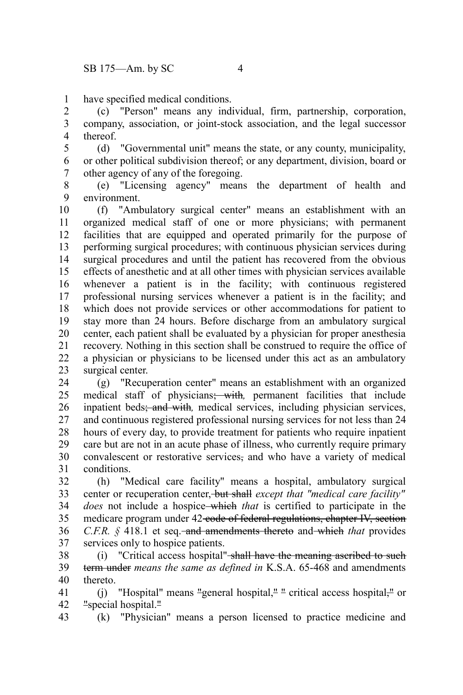have specified medical conditions. 1

(c) "Person" means any individual, firm, partnership, corporation, company, association, or joint-stock association, and the legal successor thereof. 2 3 4

(d) "Governmental unit" means the state, or any county, municipality, or other political subdivision thereof; or any department, division, board or other agency of any of the foregoing. 5 6 7

(e) "Licensing agency" means the department of health and environment. 8 9

(f) "Ambulatory surgical center" means an establishment with an organized medical staff of one or more physicians; with permanent facilities that are equipped and operated primarily for the purpose of performing surgical procedures; with continuous physician services during surgical procedures and until the patient has recovered from the obvious effects of anesthetic and at all other times with physician services available whenever a patient is in the facility; with continuous registered professional nursing services whenever a patient is in the facility; and which does not provide services or other accommodations for patient to stay more than 24 hours. Before discharge from an ambulatory surgical center, each patient shall be evaluated by a physician for proper anesthesia recovery. Nothing in this section shall be construed to require the office of a physician or physicians to be licensed under this act as an ambulatory surgical center. 10 11 12 13 14 15 16 17 18 19 20 21 22 23

(g) "Recuperation center" means an establishment with an organized medical staff of physicians; with*,* permanent facilities that include inpatient beds; and with*,* medical services, including physician services, and continuous registered professional nursing services for not less than 24 hours of every day, to provide treatment for patients who require inpatient care but are not in an acute phase of illness, who currently require primary convalescent or restorative services, and who have a variety of medical conditions. 24 25 26 27 28 29 30 31

(h) "Medical care facility" means a hospital, ambulatory surgical center or recuperation center, but shall *except that "medical care facility" does* not include a hospice which *that* is certified to participate in the medicare program under 42-code of federal regulations, chapter IV, section *C.F.R.* § 418.1 et seq. and amendments thereto and which *that* provides services only to hospice patients. 32 33 34 35 36 37

(i) "Critical access hospital" shall have the meaning ascribed to such term under *means the same as defined in* K.S.A. 65-468 and amendments thereto. 38 39 40

(j) "Hospital" means "general hospital, $\frac{1}{x}$ " critical access hospital, $\frac{1}{x}$  or "special hospital." 41 42

(k) "Physician" means a person licensed to practice medicine and 43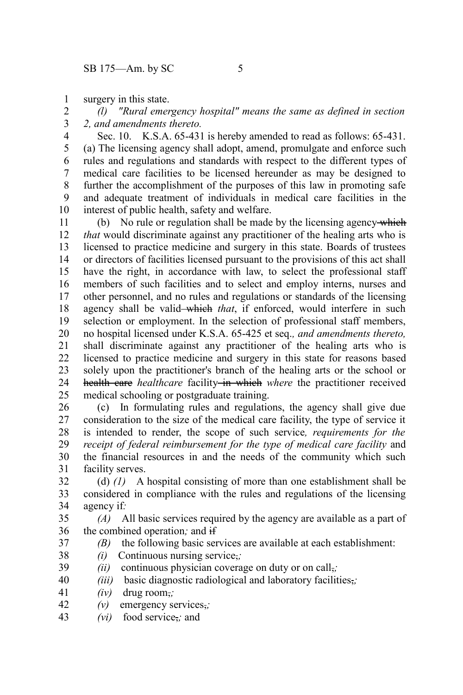surgery in this state. 1

*(l) "Rural emergency hospital" means the same as defined in section 2, and amendments thereto.* 2 3

Sec. 10. K.S.A. 65-431 is hereby amended to read as follows: 65-431. (a) The licensing agency shall adopt, amend, promulgate and enforce such rules and regulations and standards with respect to the different types of medical care facilities to be licensed hereunder as may be designed to further the accomplishment of the purposes of this law in promoting safe and adequate treatment of individuals in medical care facilities in the interest of public health, safety and welfare. 4 5 6 7 8 9 10

(b) No rule or regulation shall be made by the licensing agency which *that* would discriminate against any practitioner of the healing arts who is licensed to practice medicine and surgery in this state. Boards of trustees or directors of facilities licensed pursuant to the provisions of this act shall have the right, in accordance with law, to select the professional staff members of such facilities and to select and employ interns, nurses and other personnel, and no rules and regulations or standards of the licensing agency shall be valid-which *that*, if enforced, would interfere in such selection or employment. In the selection of professional staff members, no hospital licensed under K.S.A. 65-425 et seq.*, and amendments thereto,* shall discriminate against any practitioner of the healing arts who is licensed to practice medicine and surgery in this state for reasons based solely upon the practitioner's branch of the healing arts or the school or health care *healthcare* facility in which where the practitioner received medical schooling or postgraduate training. 11 12 13 14 15 16 17 18 19 20 21 22 23 24 25

(c) In formulating rules and regulations, the agency shall give due consideration to the size of the medical care facility, the type of service it is intended to render, the scope of such service*, requirements for the receipt of federal reimbursement for the type of medical care facility* and the financial resources in and the needs of the community which such facility serves. 26 27 28 29 30 31

(d) *(1)* A hospital consisting of more than one establishment shall be considered in compliance with the rules and regulations of the licensing agency if*:* 32 33 34

*(A)* All basic services required by the agency are available as a part of the combined operation*;* and if 35 36

- *(B)* the following basic services are available at each establishment:
- *(i)* Continuous nursing service,*;* 38
- *(ii)* continuous physician coverage on duty or on call,*;* 39
- *(iii)* basic diagnostic radiological and laboratory facilities,*;* 40
- *(iv)* drug room,*;* 41

37

- *(v)* emergency services,*;* 42
- *(vi)* food service,*;* and 43